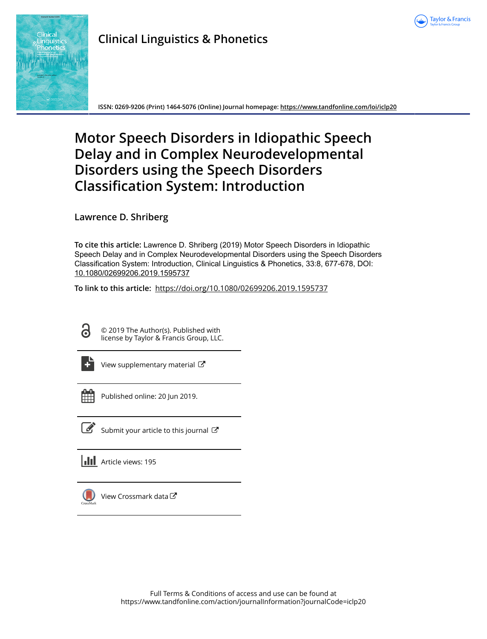



# **Clinical Linguistics & Phonetics**

**ISSN: 0269-9206 (Print) 1464-5076 (Online) Journal homepage:<https://www.tandfonline.com/loi/iclp20>**

# **Motor Speech Disorders in Idiopathic Speech Delay and in Complex Neurodevelopmental Disorders using the Speech Disorders Classification System: Introduction**

**Lawrence D. Shriberg**

**To cite this article:** Lawrence D. Shriberg (2019) Motor Speech Disorders in Idiopathic Speech Delay and in Complex Neurodevelopmental Disorders using the Speech Disorders Classification System: Introduction, Clinical Linguistics & Phonetics, 33:8, 677-678, DOI: [10.1080/02699206.2019.1595737](https://www.tandfonline.com/action/showCitFormats?doi=10.1080/02699206.2019.1595737)

**To link to this article:** <https://doi.org/10.1080/02699206.2019.1595737>

ര

© 2019 The Author(s). Published with license by Taylor & Francis Group, LLC.



[View supplementary material](https://www.tandfonline.com/doi/suppl/10.1080/02699206.2019.1595737)  $\mathbb{Z}$ 



Published online: 20 Jun 2019.



 $\overline{\mathscr{L}}$  [Submit your article to this journal](https://www.tandfonline.com/action/authorSubmission?journalCode=iclp20&show=instructions)  $\mathbb{Z}$ 

**III** Article views: 195



[View Crossmark data](http://crossmark.crossref.org/dialog/?doi=10.1080/02699206.2019.1595737&domain=pdf&date_stamp=2019-06-20)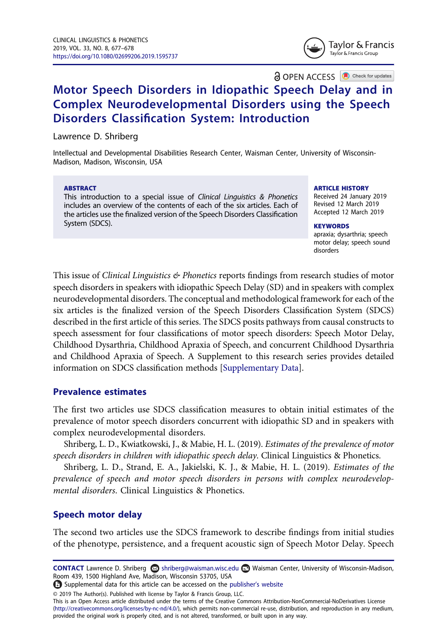Taylor & Francis Taylor & Francis Group

**a** OPEN ACCESS **a** Check for updates

## Motor Speech Disorders in Idiopathic Speech Delay and in Complex Neurodevelopmental Disorders using the Speech Disorders Classification System: Introduction

Lawrence D. Shriberg

Intellectual and Developmental Disabilities Research Center, Waisman Center, University of Wisconsin-Madison, Madison, Wisconsin, USA

#### ABSTRACT

This introduction to a special issue of Clinical Linguistics & Phonetics includes an overview of the contents of each of the six articles. Each of the articles use the finalized version of the Speech Disorders Classification System (SDCS).

#### ARTICLE HISTORY

Received 24 January 2019 Revised 12 March 2019 Accepted 12 March 2019

**KEYWORDS** apraxia; dysarthria; speech motor delay; speech sound disorders

This issue of *Clinical Linguistics*  $\&$  *Phonetics* reports findings from research studies of motor speech disorders in speakers with idiopathic Speech Delay (SD) and in speakers with complex neurodevelopmental disorders. The conceptual and methodological framework for each of the six articles is the finalized version of the Speech Disorders Classification System (SDCS) described in the first article of this series. The SDCS posits pathways from causal constructs to speech assessment for four classifications of motor speech disorders: Speech Motor Delay, Childhood Dysarthria, Childhood Apraxia of Speech, and concurrent Childhood Dysarthria and Childhood Apraxia of Speech. A Supplement to this research series provides detailed information on SDCS classification methods [\[Supplementary Data\]](https://doi.org/10.1080/02699206.2019.1595737).

#### Prevalence estimates

The first two articles use SDCS classification measures to obtain initial estimates of the prevalence of motor speech disorders concurrent with idiopathic SD and in speakers with complex neurodevelopmental disorders.

Shriberg, L. D., Kwiatkowski, J., & Mabie, H. L. (2019). Estimates of the prevalence of motor speech disorders in children with idiopathic speech delay. Clinical Linguistics & Phonetics.

Shriberg, L. D., Strand, E. A., Jakielski, K. J., & Mabie, H. L. (2019). Estimates of the prevalence of speech and motor speech disorders in persons with complex neurodevelopmental disorders. Clinical Linguistics & Phonetics.

### Speech motor delay

The second two articles use the SDCS framework to describe findings from initial studies of the phenotype, persistence, and a frequent acoustic sign of Speech Motor Delay. Speech

CONTACT Lawrence D. Shriberg **S** shriberg@waisman.wisc.edu **■** Waisman Center, University of Wisconsin-Madison, Room 439, 1500 Highland Ave, Madison, Wisconsin 53705, USA

Supplemental data for this article can be accessed on the publisher'[s website](https://doi.org/10.1080/02699206.2019.1595737)

© 2019 The Author(s). Published with license by Taylor & Francis Group, LLC.

This is an Open Access article distributed under the terms of the Creative Commons Attribution-NonCommercial-NoDerivatives License (http://creativecommons.org/licenses/by-nc-nd/4.0/), which permits non-commercial re-use, distribution, and reproduction in any medium, provided the original work is properly cited, and is not altered, transformed, or built upon in any way.